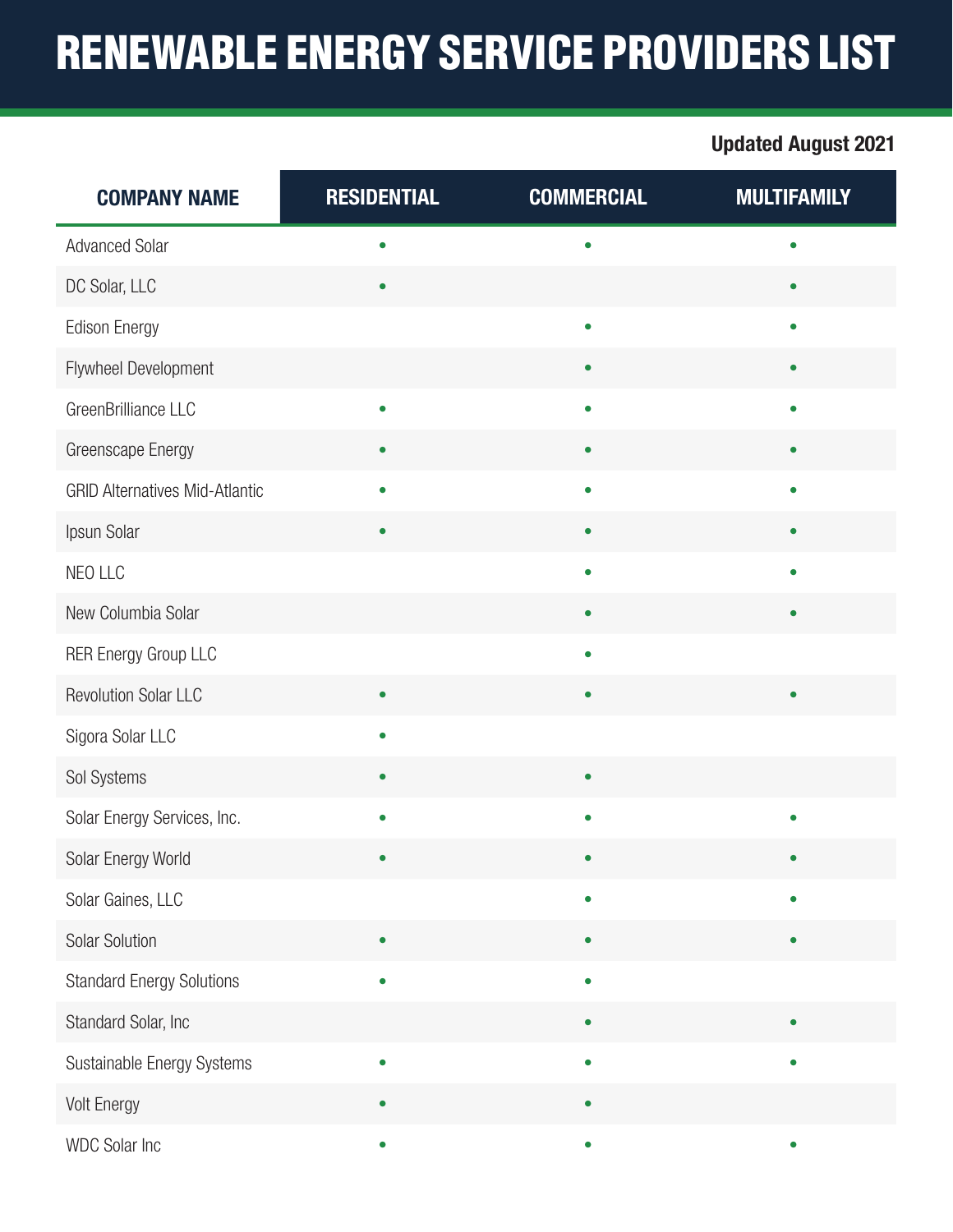## RENEWABLE ENERGY SERVICE PROVIDERS LIST

## Updated August 2021

| <b>COMPANY NAME</b>                   | <b>RESIDENTIAL</b> | <b>COMMERCIAL</b> | <b>MULTIFAMILY</b> |
|---------------------------------------|--------------------|-------------------|--------------------|
| <b>Advanced Solar</b>                 | $\bullet$          | $\bullet$         | $\bullet$          |
| DC Solar, LLC                         | $\bullet$          |                   | $\bullet$          |
| <b>Edison Energy</b>                  |                    | $\bullet$         | $\bullet$          |
| Flywheel Development                  |                    |                   | $\bullet$          |
| GreenBrilliance LLC                   | $\bullet$          | $\bullet$         | $\bullet$          |
| Greenscape Energy                     |                    | $\bullet$         | $\bullet$          |
| <b>GRID Alternatives Mid-Atlantic</b> | $\bullet$          | $\bullet$         | $\bullet$          |
| Ipsun Solar                           |                    | $\bullet$         | $\bullet$          |
| NEO LLC                               |                    | $\bullet$         | $\bullet$          |
| New Columbia Solar                    |                    | $\bullet$         | $\bullet$          |
| <b>RER Energy Group LLC</b>           |                    | $\bullet$         |                    |
| <b>Revolution Solar LLC</b>           | ٠                  | $\bullet$         | $\bullet$          |
| Sigora Solar LLC                      | $\bullet$          |                   |                    |
| Sol Systems                           |                    |                   |                    |
| Solar Energy Services, Inc.           |                    | $\bullet$         | $\bullet$          |
| Solar Energy World                    |                    |                   |                    |
| Solar Gaines, LLC                     |                    | $\bullet$         | $\bullet$          |
| Solar Solution                        | $\bullet$          | $\bullet$         | $\bullet$          |
| <b>Standard Energy Solutions</b>      | $\bullet$          | $\bullet$         |                    |
| Standard Solar, Inc                   |                    | $\bullet$         | $\bullet$          |
| Sustainable Energy Systems            | $\bullet$          | $\bullet$         | $\bullet$          |
| <b>Volt Energy</b>                    |                    |                   |                    |
| WDC Solar Inc                         | $\bullet$          | $\bullet$         | $\bullet$          |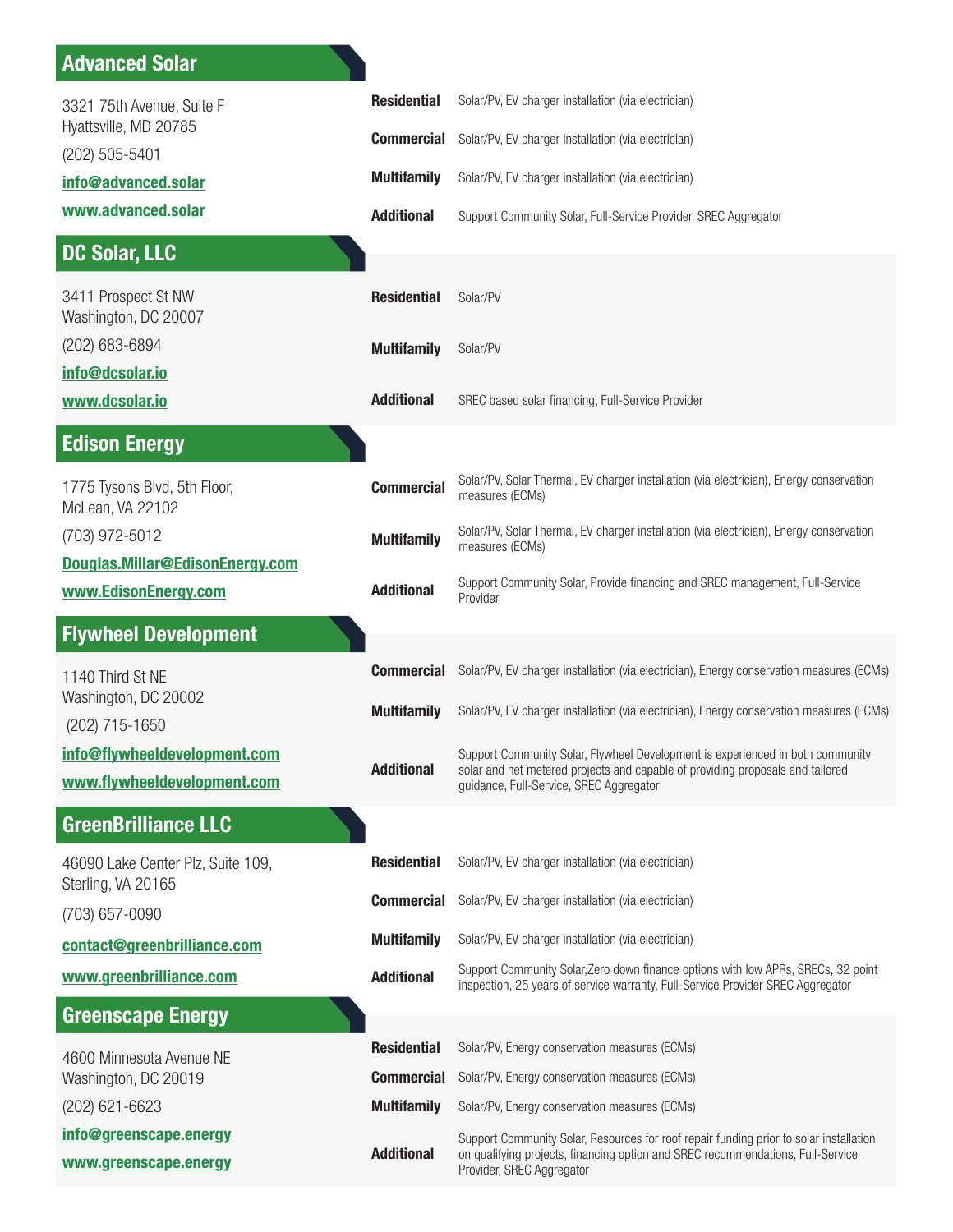| 3321 75th Avenue, Suite F<br>Hyattsville, MD 20785          | <b>Residential</b>                      | Solar/PV, EV charger installation (via electrician)                                                                                                                                                         |
|-------------------------------------------------------------|-----------------------------------------|-------------------------------------------------------------------------------------------------------------------------------------------------------------------------------------------------------------|
| (202) 505-5401                                              | <b>Commercial</b>                       | Solar/PV, EV charger installation (via electrician)                                                                                                                                                         |
| info@advanced.solar                                         | <b>Multifamily</b>                      | Solar/PV, EV charger installation (via electrician)                                                                                                                                                         |
| www.advanced.solar                                          | <b>Additional</b>                       | Support Community Solar, Full-Service Provider, SREC Aggregator                                                                                                                                             |
| <b>DC Solar, LLC</b>                                        |                                         |                                                                                                                                                                                                             |
| 3411 Prospect St NW<br>Washington, DC 20007                 | <b>Residential</b>                      | Solar/PV                                                                                                                                                                                                    |
| (202) 683-6894<br>info@dcsolar.io                           | <b>Multifamily</b>                      | Solar/PV                                                                                                                                                                                                    |
| www.dcsolar.io                                              | <b>Additional</b>                       | SREC based solar financing, Full-Service Provider                                                                                                                                                           |
| <b>Edison Energy</b>                                        |                                         |                                                                                                                                                                                                             |
| 1775 Tysons Blvd, 5th Floor,<br>McLean, VA 22102            | <b>Commercial</b>                       | Solar/PV, Solar Thermal, EV charger installation (via electrician), Energy conservation<br>measures (ECMs)                                                                                                  |
| (703) 972-5012<br>Douglas.Millar@EdisonEnergy.com           | <b>Multifamily</b>                      | Solar/PV, Solar Thermal, EV charger installation (via electrician), Energy conservation<br>measures (ECMs)                                                                                                  |
| www.EdisonEnergy.com                                        | <b>Additional</b>                       | Support Community Solar, Provide financing and SREC management, Full-Service<br>Provider                                                                                                                    |
| <b>Flywheel Development</b>                                 |                                         |                                                                                                                                                                                                             |
| 1140 Third St NE                                            | <b>Commercial</b>                       | Solar/PV, EV charger installation (via electrician), Energy conservation measures (ECMs)                                                                                                                    |
| Washington, DC 20002<br>(202) 715-1650                      | <b>Multifamily</b>                      | Solar/PV, EV charger installation (via electrician), Energy conservation measures (ECMs)                                                                                                                    |
|                                                             |                                         |                                                                                                                                                                                                             |
| info@flywheeldevelopment.com<br>www.flywheeldevelopment.com | <b>Additional</b>                       | Support Community Solar, Flywheel Development is experienced in both community<br>solar and net metered projects and capable of providing proposals and tailored<br>guidance, Full-Service, SREC Aggregator |
| <b>GreenBrilliance LLC</b>                                  |                                         |                                                                                                                                                                                                             |
| 46090 Lake Center Plz, Suite 109,                           | <b>Residential</b>                      | Solar/PV, EV charger installation (via electrician)                                                                                                                                                         |
| Sterling, VA 20165<br>(703) 657-0090                        | <b>Commercial</b>                       | Solar/PV, EV charger installation (via electrician)                                                                                                                                                         |
| contact@greenbrilliance.com                                 | <b>Multifamily</b>                      | Solar/PV, EV charger installation (via electrician)                                                                                                                                                         |
| www.greenbrilliance.com                                     | <b>Additional</b>                       | Support Community Solar, Zero down finance options with low APRs, SRECs, 32 point<br>inspection, 25 years of service warranty, Full-Service Provider SREC Aggregator                                        |
| <b>Greenscape Energy</b>                                    |                                         |                                                                                                                                                                                                             |
| 4600 Minnesota Avenue NE                                    | <b>Residential</b>                      | Solar/PV, Energy conservation measures (ECMs)                                                                                                                                                               |
| Washington, DC 20019<br>(202) 621-6623                      | <b>Commercial</b><br><b>Multifamily</b> | Solar/PV, Energy conservation measures (ECMs)<br>Solar/PV, Energy conservation measures (ECMs)                                                                                                              |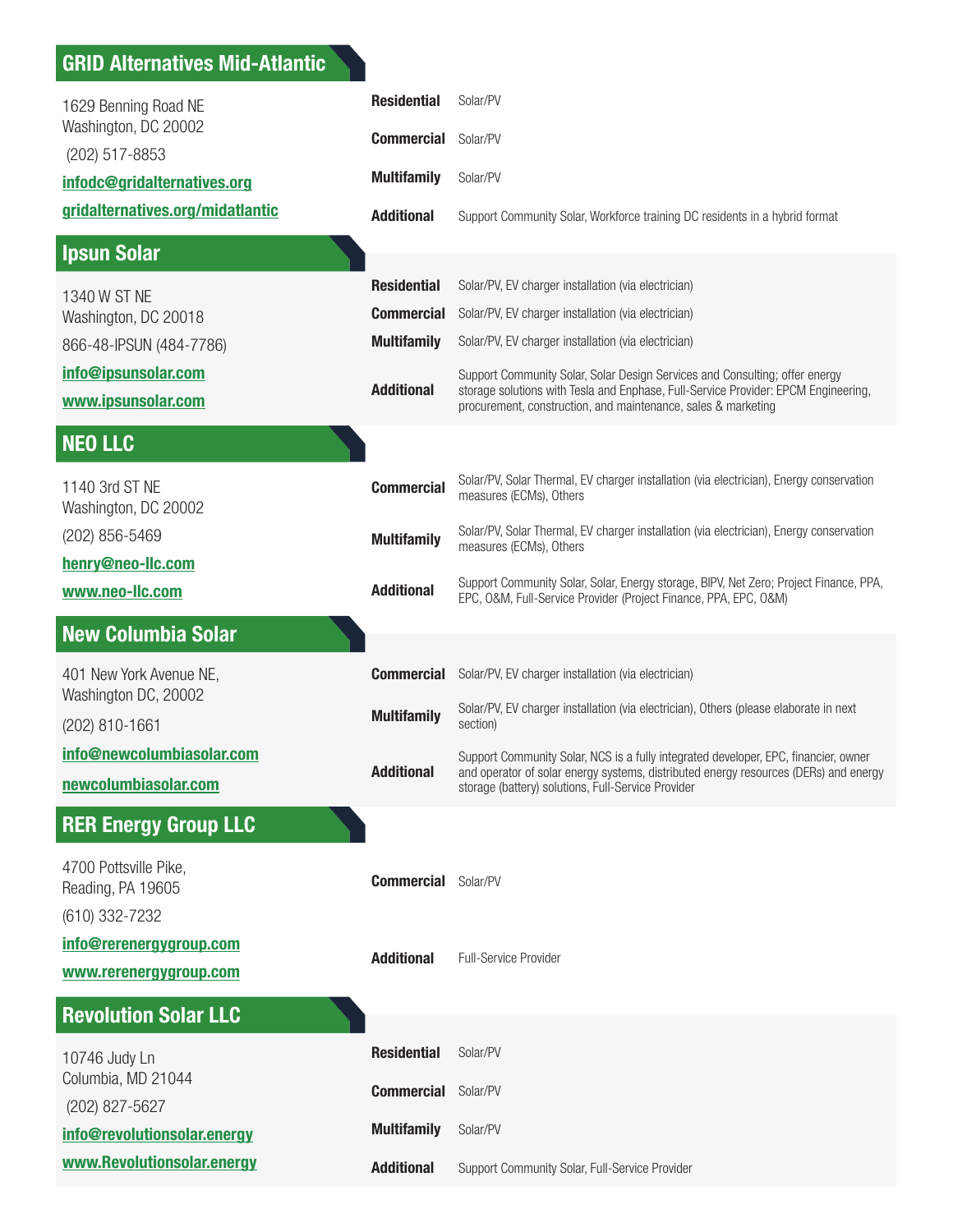## GRID Alternatives Mid-Atlantic

| 1629 Benning Road NE<br>Washington, DC 20002                 | <b>Residential</b>                      | Solar/PV                                                                                                                                                                                                                           |
|--------------------------------------------------------------|-----------------------------------------|------------------------------------------------------------------------------------------------------------------------------------------------------------------------------------------------------------------------------------|
| (202) 517-8853                                               | <b>Commercial</b>                       | Solar/PV                                                                                                                                                                                                                           |
| infodc@gridalternatives.org                                  | <b>Multifamily</b>                      | Solar/PV                                                                                                                                                                                                                           |
| gridalternatives.org/midatlantic                             | <b>Additional</b>                       | Support Community Solar, Workforce training DC residents in a hybrid format                                                                                                                                                        |
| <b>Ipsun Solar</b>                                           |                                         |                                                                                                                                                                                                                                    |
| 1340 W ST NE                                                 | <b>Residential</b><br><b>Commercial</b> | Solar/PV, EV charger installation (via electrician)<br>Solar/PV, EV charger installation (via electrician)                                                                                                                         |
| Washington, DC 20018<br>866-48-IPSUN (484-7786)              | <b>Multifamily</b>                      | Solar/PV, EV charger installation (via electrician)                                                                                                                                                                                |
| info@ipsunsolar.com<br>www.ipsunsolar.com                    | <b>Additional</b>                       | Support Community Solar, Solar Design Services and Consulting; offer energy<br>storage solutions with Tesla and Enphase, Full-Service Provider: EPCM Engineering,<br>procurement, construction, and maintenance, sales & marketing |
| <b>NEO LLC</b>                                               |                                         |                                                                                                                                                                                                                                    |
| 1140 3rd ST NE<br>Washington, DC 20002                       | <b>Commercial</b>                       | Solar/PV, Solar Thermal, EV charger installation (via electrician), Energy conservation<br>measures (ECMs), Others                                                                                                                 |
| (202) 856-5469<br>henry@neo-Ilc.com                          | <b>Multifamily</b>                      | Solar/PV, Solar Thermal, EV charger installation (via electrician), Energy conservation<br>measures (ECMs), Others                                                                                                                 |
| www.neo-llc.com                                              | <b>Additional</b>                       | Support Community Solar, Solar, Energy storage, BIPV, Net Zero; Project Finance, PPA,<br>EPC, O&M, Full-Service Provider (Project Finance, PPA, EPC, O&M)                                                                          |
| <b>New Columbia Solar</b>                                    |                                         |                                                                                                                                                                                                                                    |
| 401 New York Avenue NE,<br>Washington DC, 20002              | <b>Commercial</b>                       | Solar/PV, EV charger installation (via electrician)                                                                                                                                                                                |
| (202) 810-1661                                               | <b>Multifamily</b>                      | Solar/PV, EV charger installation (via electrician), Others (please elaborate in next<br>section)                                                                                                                                  |
| info@newcolumbiasolar.com<br>newcolumbiasolar.com            | <b>Additional</b>                       | Support Community Solar, NCS is a fully integrated developer, EPC, financier, owner<br>and operator of solar energy systems, distributed energy resources (DERs) and energy<br>storage (battery) solutions, Full-Service Provider  |
| <b>RER Energy Group LLC</b>                                  |                                         |                                                                                                                                                                                                                                    |
| 4700 Pottsville Pike,<br>Reading, PA 19605<br>(610) 332-7232 | <b>Commercial</b>                       | Solar/PV                                                                                                                                                                                                                           |
| info@rerenergygroup.com                                      | <b>Additional</b>                       | <b>Full-Service Provider</b>                                                                                                                                                                                                       |
| www.rerenergygroup.com                                       |                                         |                                                                                                                                                                                                                                    |
| <b>Revolution Solar LLC</b>                                  |                                         |                                                                                                                                                                                                                                    |
| 10746 Judy Ln                                                | <b>Residential</b>                      | Solar/PV                                                                                                                                                                                                                           |
| Columbia, MD 21044<br>(202) 827-5627                         | <b>Commercial</b>                       | Solar/PV                                                                                                                                                                                                                           |
| info@revolutionsolar.energy                                  | <b>Multifamily</b>                      | Solar/PV                                                                                                                                                                                                                           |
| www.Revolutionsolar.energy                                   | <b>Additional</b>                       | Support Community Solar, Full-Service Provider                                                                                                                                                                                     |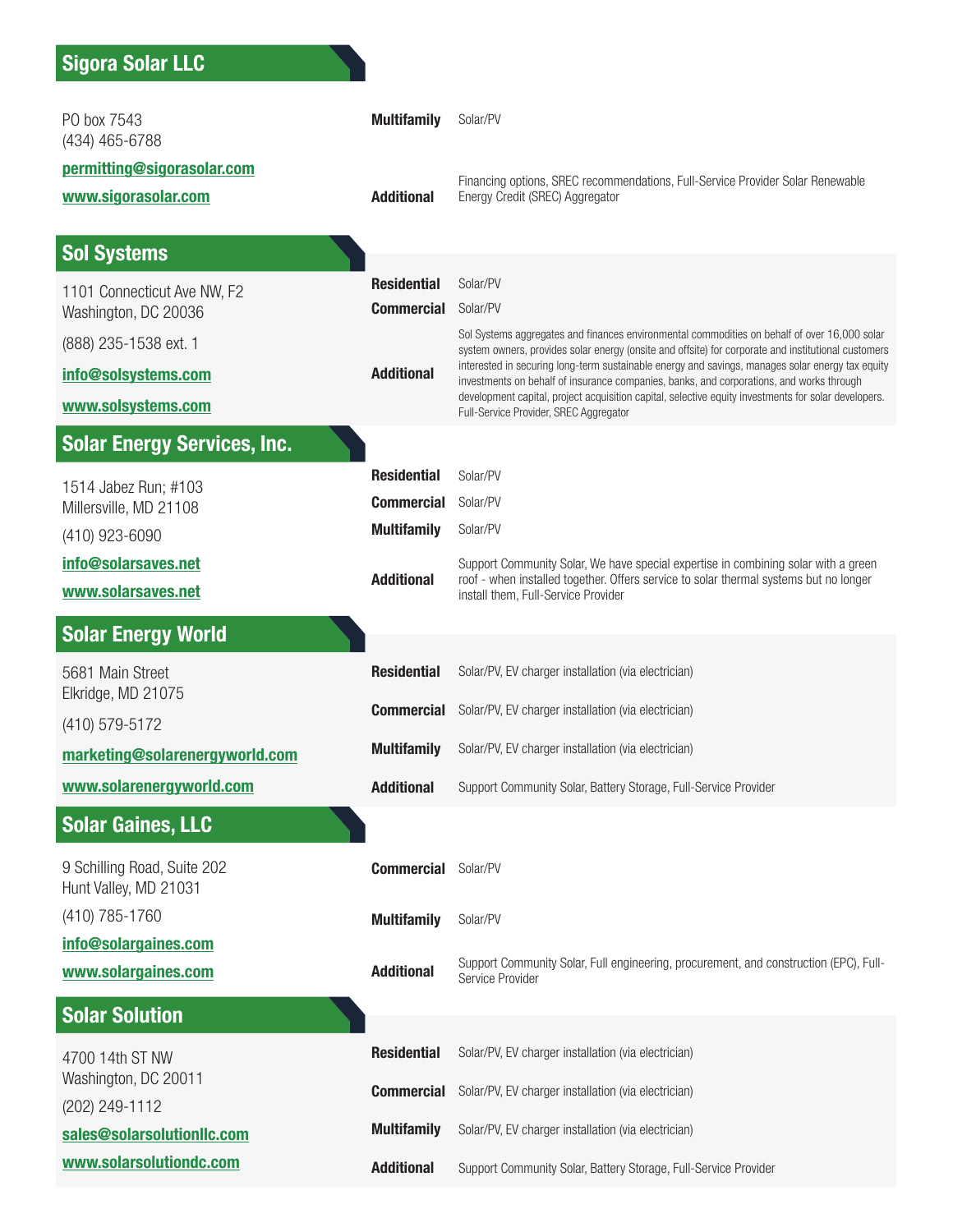| PO box 7543<br>(434) 465-6788                        | <b>Multifamily</b>                      | Solar/PV                                                                                                                                                                                                                                   |
|------------------------------------------------------|-----------------------------------------|--------------------------------------------------------------------------------------------------------------------------------------------------------------------------------------------------------------------------------------------|
| permitting@sigorasolar.com<br>www.sigorasolar.com    | <b>Additional</b>                       | Financing options, SREC recommendations, Full-Service Provider Solar Renewable<br>Energy Credit (SREC) Aggregator                                                                                                                          |
|                                                      |                                         |                                                                                                                                                                                                                                            |
| <b>Sol Systems</b>                                   |                                         |                                                                                                                                                                                                                                            |
| 1101 Connecticut Ave NW, F2                          | <b>Residential</b><br><b>Commercial</b> | Solar/PV<br>Solar/PV                                                                                                                                                                                                                       |
| Washington, DC 20036<br>(888) 235-1538 ext. 1        |                                         | Sol Systems aggregates and finances environmental commodities on behalf of over 16,000 solar                                                                                                                                               |
| info@solsystems.com                                  | <b>Additional</b>                       | system owners, provides solar energy (onsite and offsite) for corporate and institutional customers<br>interested in securing long-term sustainable energy and savings, manages solar energy tax equity                                    |
| www.solsystems.com                                   |                                         | investments on behalf of insurance companies, banks, and corporations, and works through<br>development capital, project acquisition capital, selective equity investments for solar developers.<br>Full-Service Provider, SREC Aggregator |
| <b>Solar Energy Services, Inc.</b>                   |                                         |                                                                                                                                                                                                                                            |
| 1514 Jabez Run; #103                                 | <b>Residential</b>                      | Solar/PV                                                                                                                                                                                                                                   |
| Millersville, MD 21108                               | <b>Commercial</b>                       | Solar/PV                                                                                                                                                                                                                                   |
| (410) 923-6090                                       | <b>Multifamily</b>                      | Solar/PV                                                                                                                                                                                                                                   |
| info@solarsaves.net<br>www.solarsaves.net            | <b>Additional</b>                       | Support Community Solar, We have special expertise in combining solar with a green<br>roof - when installed together. Offers service to solar thermal systems but no longer<br>install them, Full-Service Provider                         |
| <b>Solar Energy World</b>                            |                                         |                                                                                                                                                                                                                                            |
| 5681 Main Street                                     | <b>Residential</b>                      | Solar/PV, EV charger installation (via electrician)                                                                                                                                                                                        |
| Elkridge, MD 21075<br>(410) 579-5172                 | <b>Commercial</b>                       | Solar/PV, EV charger installation (via electrician)                                                                                                                                                                                        |
| marketing@solarenergyworld.com                       | <b>Multifamily</b>                      | Solar/PV, EV charger installation (via electrician)                                                                                                                                                                                        |
| www.solarenergyworld.com                             | <b>Additional</b>                       | Support Community Solar, Battery Storage, Full-Service Provider                                                                                                                                                                            |
| <b>Solar Gaines, LLC</b>                             |                                         |                                                                                                                                                                                                                                            |
| 9 Schilling Road, Suite 202<br>Hunt Valley, MD 21031 | <b>Commercial</b>                       | Solar/PV                                                                                                                                                                                                                                   |
| (410) 785-1760                                       | <b>Multifamily</b>                      | Solar/PV                                                                                                                                                                                                                                   |
| info@solargaines.com<br>www.solargaines.com          | <b>Additional</b>                       | Support Community Solar, Full engineering, procurement, and construction (EPC), Full-                                                                                                                                                      |
|                                                      |                                         | Service Provider                                                                                                                                                                                                                           |
| <b>Solar Solution</b>                                |                                         |                                                                                                                                                                                                                                            |
| 4700 14th ST NW<br>Washington, DC 20011              | <b>Residential</b>                      | Solar/PV, EV charger installation (via electrician)                                                                                                                                                                                        |
| (202) 249-1112                                       | <b>Commercial</b>                       | Solar/PV, EV charger installation (via electrician)                                                                                                                                                                                        |
| sales@solarsolutionllc.com                           | <b>Multifamily</b>                      | Solar/PV, EV charger installation (via electrician)                                                                                                                                                                                        |
| www.solarsolutiondc.com                              | <b>Additional</b>                       | Support Community Solar, Battery Storage, Full-Service Provider                                                                                                                                                                            |